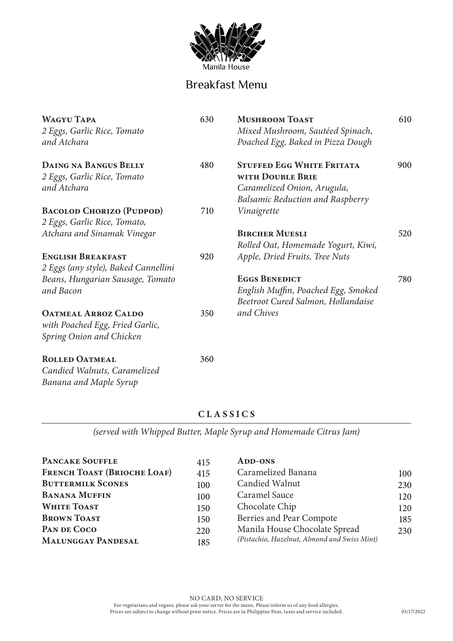

# Breakfast Menu

| <b>WAGYU TAPA</b><br>2 Eggs, Garlic Rice, Tomato<br>and Atchara                           | 630 | <b>MUSHROOM TOAST</b><br>Mixed Mushroom, Sautéed Spinach,<br>Poached Egg, Baked in Pizza Dough                                 | 610 |
|-------------------------------------------------------------------------------------------|-----|--------------------------------------------------------------------------------------------------------------------------------|-----|
| <b>DAING NA BANGUS BELLY</b><br>2 Eggs, Garlic Rice, Tomato<br>and Atchara                | 480 | <b>STUFFED EGG WHITE FRITATA</b><br>WITH DOUBLE BRIE<br>Caramelized Onion, Arugula,<br><b>Balsamic Reduction and Raspberry</b> | 900 |
| <b>BACOLOD CHORIZO (PUDPOD)</b>                                                           | 710 | Vinaigrette                                                                                                                    |     |
| 2 Eggs, Garlic Rice, Tomato,                                                              |     |                                                                                                                                |     |
| Atchara and Sinamak Vinegar                                                               |     | <b>BIRCHER MUESLI</b><br>Rolled Oat, Homemade Yogurt, Kiwi,                                                                    | 520 |
| <b>ENGLISH BREAKFAST</b><br>2 Eggs (any style), Baked Cannellini                          | 920 | Apple, Dried Fruits, Tree Nuts                                                                                                 |     |
| Beans, Hungarian Sausage, Tomato<br>and Bacon                                             |     | <b>EGGS BENEDICT</b><br>English Muffin, Poached Egg, Smoked<br>Beetroot Cured Salmon, Hollandaise                              | 780 |
| <b>OATMEAL ARROZ CALDO</b><br>with Poached Egg, Fried Garlic,<br>Spring Onion and Chicken | 350 | and Chives                                                                                                                     |     |
| <b>ROLLED OATMEAL</b><br>Candied Walnuts, Caramelized                                     | 360 |                                                                                                                                |     |

## **CLASSICS**

*Banana and Maple Syrup*

*(served with Whipped Butter, Maple Syrup and Homemade Citrus Jam)*

| <b>PANCAKE SOUFFLE</b><br><b>FRENCH TOAST (BRIOCHE LOAF)</b> | 415        | <b>ADD-ONS</b><br>Caramelized Banana         |            |
|--------------------------------------------------------------|------------|----------------------------------------------|------------|
| <b>BUTTERMILK SCONES</b>                                     | 415<br>100 | Candied Walnut                               | 100<br>230 |
| <b>BANANA MUFFIN</b>                                         | 100        | Caramel Sauce                                | 120        |
| <b>WHITE TOAST</b>                                           | 150        | Chocolate Chip                               | 120        |
| <b>BROWN TOAST</b>                                           | 150        | Berries and Pear Compote                     | 185        |
| PAN DE COCO                                                  | 220        | Manila House Chocolate Spread                | 230        |
| <b>MALUNGGAY PANDESAL</b>                                    | 185        | (Pistachio, Hazelnut, Almond and Swiss Mint) |            |